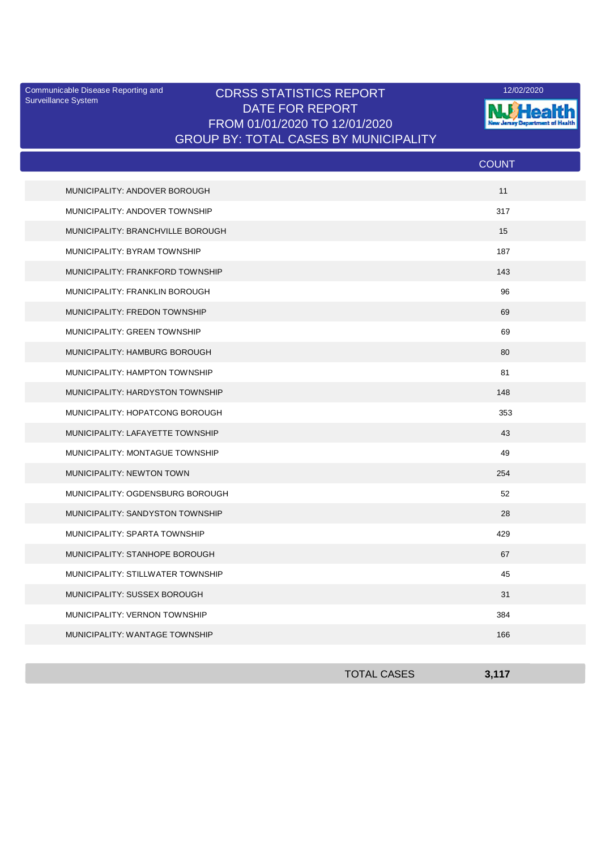Surveillance System

## Communicable Disease Reporting and **CDRSS STATISTICS REPORT** 12/02/2020<br>Surveillance Statem DATE FOR REPORT FROM 01/01/2020 TO 12/01/2020 GROUP BY: TOTAL CASES BY MUNICIPALITY



|                                   | <b>COUNT</b> |
|-----------------------------------|--------------|
| MUNICIPALITY: ANDOVER BOROUGH     | 11           |
| MUNICIPALITY: ANDOVER TOWNSHIP    | 317          |
| MUNICIPALITY: BRANCHVILLE BOROUGH | 15           |
| MUNICIPALITY: BYRAM TOWNSHIP      | 187          |
| MUNICIPALITY: FRANKFORD TOWNSHIP  | 143          |
| MUNICIPALITY: FRANKLIN BOROUGH    | 96           |
| MUNICIPALITY: FREDON TOWNSHIP     | 69           |
| MUNICIPALITY: GREEN TOWNSHIP      | 69           |
| MUNICIPALITY: HAMBURG BOROUGH     | 80           |
| MUNICIPALITY: HAMPTON TOWNSHIP    | 81           |
| MUNICIPALITY: HARDYSTON TOWNSHIP  | 148          |
| MUNICIPALITY: HOPATCONG BOROUGH   | 353          |
| MUNICIPALITY: LAFAYETTE TOWNSHIP  | 43           |
| MUNICIPALITY: MONTAGUE TOWNSHIP   | 49           |
| MUNICIPALITY: NEWTON TOWN         | 254          |
| MUNICIPALITY: OGDENSBURG BOROUGH  | 52           |
| MUNICIPALITY: SANDYSTON TOWNSHIP  | 28           |
| MUNICIPALITY: SPARTA TOWNSHIP     | 429          |
| MUNICIPALITY: STANHOPE BOROUGH    | 67           |
| MUNICIPALITY: STILLWATER TOWNSHIP | 45           |
| MUNICIPALITY: SUSSEX BOROUGH      | 31           |
| MUNICIPALITY: VERNON TOWNSHIP     | 384          |
| MUNICIPALITY: WANTAGE TOWNSHIP    | 166          |

| <b>TOTAL CASES</b> | 3.117<br>J,III |
|--------------------|----------------|
|                    |                |